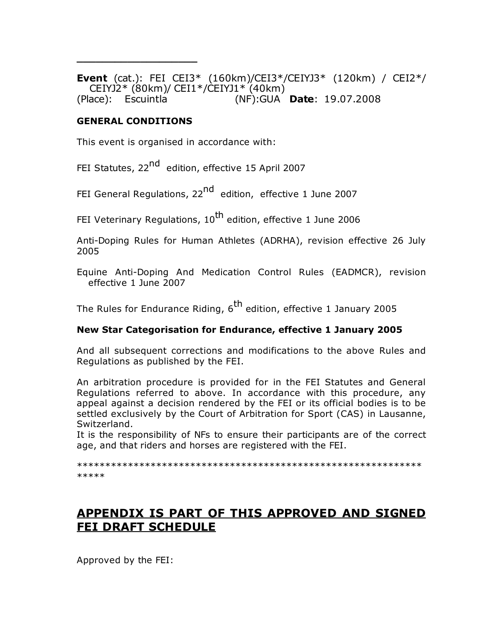**Event** (cat.): FEI CEI3\* (160km)/CEI3\*/CEIYJ3\* (120km) / CEI2\*/ CEIYJ2\* (80km)/ CEI1\*/CEIYJ1\* (40km) (Place): Escuintla (NF):GUA **Date**: 19.07.2008

#### **GENERAL CONDITIONS**

**\_\_\_\_\_\_\_\_\_\_\_\_\_\_\_\_\_\_\_**

This event is organised in accordance with:

FEI Statutes, 22<sup>nd</sup> edition, effective 15 April 2007

FEI General Regulations, 22<sup>nd</sup> edition, effective 1 June 2007

FEI Veterinary Regulations, 10<sup>th</sup> edition, effective 1 June 2006

Anti-Doping Rules for Human Athletes (ADRHA), revision effective 26 July 2005

Equine Anti-Doping And Medication Control Rules (EADMCR), revision effective 1 June 2007

The Rules for Endurance Riding,  $6<sup>th</sup>$  edition, effective 1 January 2005

### **New Star Categorisation for Endurance, effective 1 January 2005**

And all subsequent corrections and modifications to the above Rules and Regulations as published by the FEI.

An arbitration procedure is provided for in the FEI Statutes and General Regulations referred to above. In accordance with this procedure, any appeal against a decision rendered by the FEI or its official bodies is to be settled exclusively by the Court of Arbitration for Sport (CAS) in Lausanne, Switzerland.

It is the responsibility of NFs to ensure their participants are of the correct age, and that riders and horses are registered with the FEI.

\*\*\*\*\*\*\*\*\*\*\*\*\*\*\*\*\*\*\*\*\*\*\*\*\*\*\*\*\*\*\*\*\*\*\*\*\*\*\*\*\*\*\*\*\*\*\*\*\*\*\*\*\*\*\*\*\*\*\*\*\* \*\*\*\*\*

# **APPENDIX IS PART OF THIS APPROVED AND SIGNED FEI DRAFT SCHEDULE**

Approved by the FEI: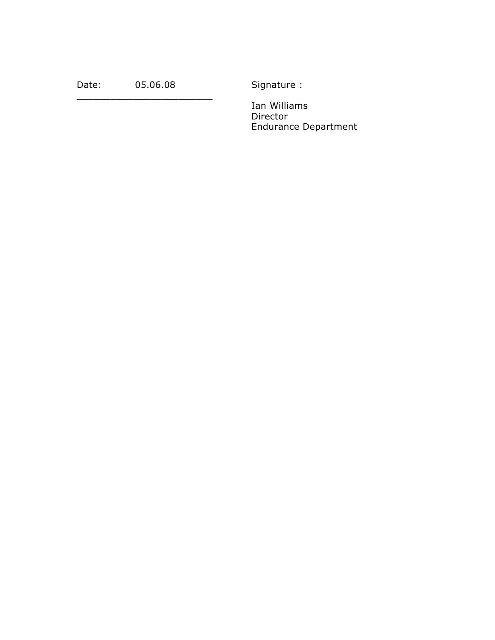Date: 05.06.08 Signature :

\_\_\_\_\_\_\_\_\_\_\_\_\_\_\_\_\_\_\_\_\_\_\_\_

Ian Williams Director Endurance Department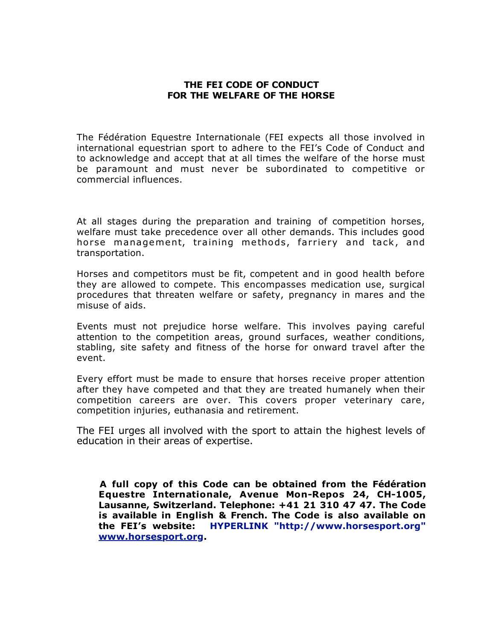#### **THE FEI CODE OF CONDUCT FOR THE WELFARE OF THE HORSE**

The Fédération Equestre Internationale (FEI expects all those involved in international equestrian sport to adhere to the FEI's Code of Conduct and to acknowledge and accept that at all times the welfare of the horse must be paramount and must never be subordinated to competitive or commercial influences.

At all stages during the preparation and training of competition horses, welfare must take precedence over all other demands. This includes good horse management, training methods, farriery and tack, and transportation.

Horses and competitors must be fit, competent and in good health before they are allowed to compete. This encompasses medication use, surgical procedures that threaten welfare or safety, pregnancy in mares and the misuse of aids.

Events must not prejudice horse welfare. This involves paying careful attention to the competition areas, ground surfaces, weather conditions, stabling, site safety and fitness of the horse for onward travel after the event.

Every effort must be made to ensure that horses receive proper attention after they have competed and that they are treated humanely when their competition careers are over. This covers proper veterinary care, competition injuries, euthanasia and retirement.

The FEI urges all involved with the sport to attain the highest levels of education in their areas of expertise.

**A full copy of this Code can be obtained from the Fédération Equestre Internationale, Avenue Mon-Repos 24, CH-1005, Lausanne, Switzerland. Telephone: +41 21 310 47 47. The Code is available in English & French. The Code is also available on the FEI's website: HYPERLINK "http://www.horsesport.org" www.horsesport.org.**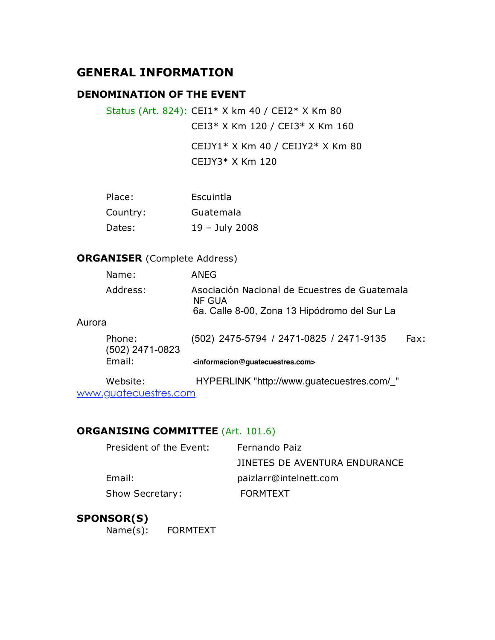# **GENERAL INFORMATION**

## **DENOMINATION OF THE EVENT**

Status (Art. 824): CEI1\* X km 40 / CEI2\* X Km 80 CEI3\* X Km 120 / CEI3\* X Km 160

> CEIJY1\* X Km 40 / CEIJY2\* X Km 80 CEIJY3\* X Km 120

| Place:   | Escuintla      |
|----------|----------------|
| Country: | Guatemala      |
| Dates:   | 19 - July 2008 |

## **ORGANISER** (Complete Address)

| Name:                     | ANEG                                                                                                    |      |
|---------------------------|---------------------------------------------------------------------------------------------------------|------|
| Address:                  | Asociación Nacional de Ecuestres de Guatemala<br>NF GUA<br>6a. Calle 8-00, Zona 13 Hipódromo del Sur La |      |
| Aurora                    |                                                                                                         |      |
| Phone:<br>(502) 2471-0823 | (502) 2475-5794 / 2471-0825 / 2471-9135                                                                 | Fax: |
| Email:                    | <informacion@guatecuestres.com></informacion@guatecuestres.com>                                         |      |
| Website:                  | HYPERLINK "http://www.guatecuestres.com/_"                                                              |      |

www.guatecuestres.com

### **ORGANISING COMMITTEE** (Art. 101.6)

| President of the Event: | Fernando Paiz                 |
|-------------------------|-------------------------------|
|                         | JINETES DE AVENTURA ENDURANCE |
| Email:                  | paizlarr@intelnett.com        |
| Show Secretary:         | <b>FORMTEXT</b>               |

## **SPONSOR(S)**

Name(s): FORMTEXT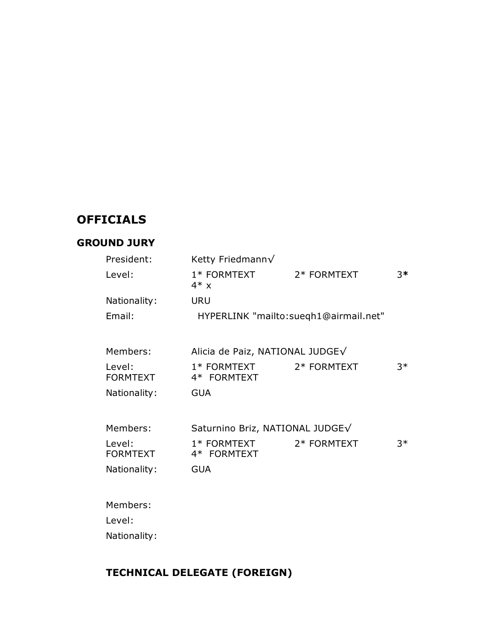# **OFFICIALS**

## **GROUND JURY**

| President:                | Ketty Friedmann $\sqrt$         |                                       |      |
|---------------------------|---------------------------------|---------------------------------------|------|
| Level:                    | 1* FORMTEXT<br>$4* x$           | 2* FORMTEXT                           | $3*$ |
| Nationality:              | <b>URU</b>                      |                                       |      |
| Email:                    |                                 | HYPERLINK "mailto:suegh1@airmail.net" |      |
| Members:                  | Alicia de Paiz, NATIONAL JUDGE√ |                                       |      |
| Level:<br><b>FORMTEXT</b> | $1*$ FORMTEXT<br>4* FORMTEXT    | 2* FORMTEXT                           | $3*$ |
| Nationality:              | <b>GUA</b>                      |                                       |      |
| Members:                  | Saturnino Briz, NATIONAL JUDGE√ |                                       |      |
| Level:<br><b>FORMTEXT</b> | 1* FORMTEXT<br>4* FORMTEXT      | 2* FORMTEXT                           | $3*$ |
| Nationality:              | <b>GUA</b>                      |                                       |      |
| Members:                  |                                 |                                       |      |
| Level:                    |                                 |                                       |      |
| Nationality:              |                                 |                                       |      |

# **TECHNICAL DELEGATE (FOREIGN)**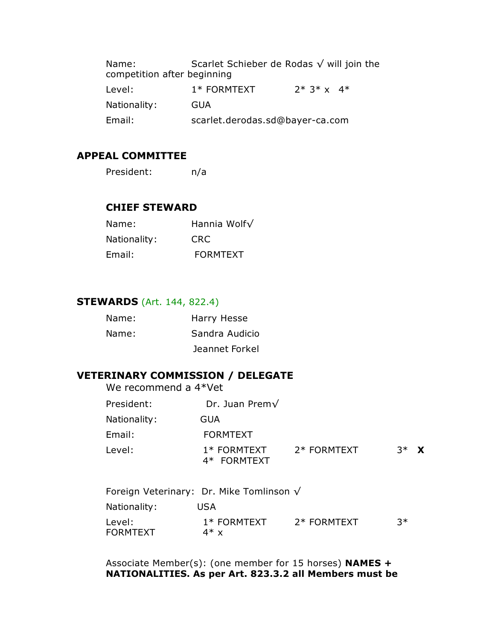Name: Scarlet Schieber de Rodas √ will join the competition after beginning Level:  $1*$  FORMTEXT  $2*3*$  x  $4*$ Nationality: GUA Email: scarlet.derodas.sd@bayer-ca.com

## **APPEAL COMMITTEE**

| President: | n/a |
|------------|-----|
|            |     |

#### **CHIEF STEWARD**

| Name:        | Hannia Wolf√    |
|--------------|-----------------|
| Nationality: | CRC.            |
| Email:       | <b>FORMTEXT</b> |

#### **STEWARDS** (Art. 144, 822.4)

| Name: | Harry Hesse    |
|-------|----------------|
| Name: | Sandra Audicio |
|       | Jeannet Forkel |

## **VETERINARY COMMISSION / DELEGATE**

We recommend a 4\*Vet

| President:   | Dr. Juan Prem $\sqrt$        |             |         |  |
|--------------|------------------------------|-------------|---------|--|
| Nationality: | GUA                          |             |         |  |
| Email:       | <b>FORMTEXT</b>              |             |         |  |
| Level:       | $1*$ FORMTEXT<br>4* FORMTEXT | 2* FORMTEXT | $3^*$ X |  |

| Foreign Veterinary: Dr. Mike Tomlinson $\sqrt{}$ |                         |             |    |
|--------------------------------------------------|-------------------------|-------------|----|
| Nationality:                                     | USA                     |             |    |
| Level:<br><b>FORMTEXT</b>                        | $1*$ FORMTEXT<br>$4*$ x | 2* FORMTEXT | ?* |

Associate Member(s): (one member for 15 horses) **NAMES + NATIONALITIES. As per Art. 823.3.2 all Members must be**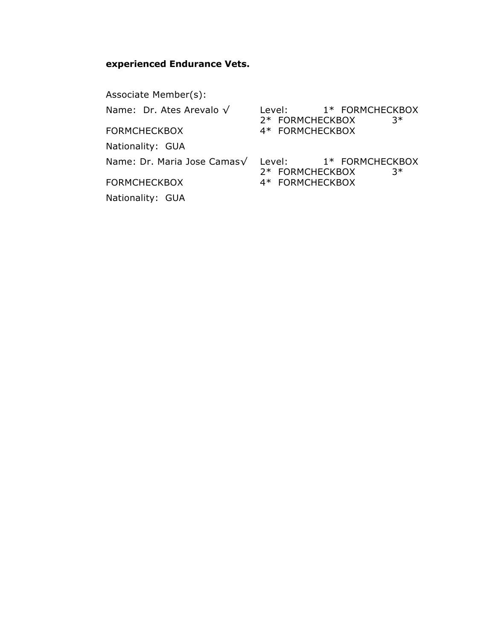## **experienced Endurance Vets.**

Associate Member(s): Name: Dr. Ates Arevalo √ Level: 1\* FORMCHECKBOX 2\* FORMCHECKBOX 3\* FORMCHECKBOX 4\* FORMCHECKBOX Nationality: GUA

Name: Dr. Maria Jose Camas√ Level: 1\* FORMCHECKBOX 2\* FORMCHECKBOX 3\* FORMCHECKBOX 4\* FORMCHECKBOX

Nationality: GUA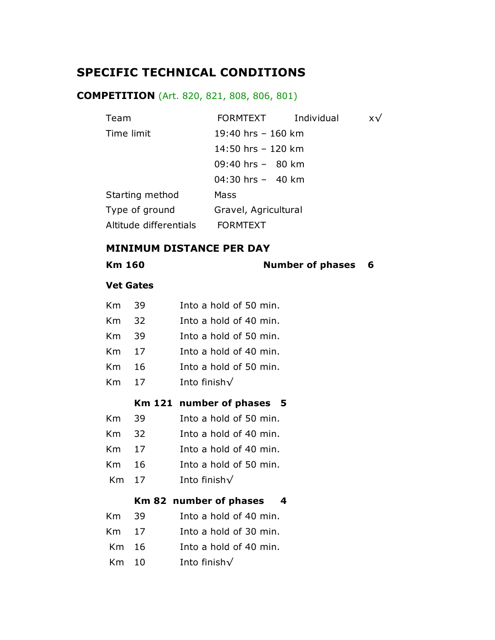# **SPECIFIC TECHNICAL CONDITIONS**

## **COMPETITION** (Art. 820, 821, 808, 806, 801)

| Team                   | FORMTEXT              | Individual | x√ |
|------------------------|-----------------------|------------|----|
| Time limit             | 19:40 hrs $-$ 160 km  |            |    |
|                        | 14:50 hrs $-$ 120 km  |            |    |
|                        | $09:40$ hrs $-$ 80 km |            |    |
|                        | 04:30 hrs $-$ 40 km   |            |    |
| Starting method        | Mass                  |            |    |
| Type of ground         | Gravel, Agricultural  |            |    |
| Altitude differentials | <b>FORMTEXT</b>       |            |    |

#### **MINIMUM DISTANCE PER DAY**

**Km 160 Number of phases 6** 

#### **Vet Gates**

| Km 39 | Into a hold of 50 min. |  |
|-------|------------------------|--|
|       |                        |  |

- Km 32 Into a hold of 40 min.
- Km 39 Into a hold of 50 min.
- Km 17 Into a hold of 40 min.
- Km 16 Into a hold of 50 min.
- Km 17 Into finish√

### **Km 121 number of phases 5**

- Km 39 Into a hold of 50 min.
- Km 32 Into a hold of 40 min.
- Km 17 Into a hold of 40 min.
- Km 16 Into a hold of 50 min.
- Km 17 Into finish√

### **Km 82 number of phases 4**

- Km 39 Into a hold of 40 min.
- Km 17 Into a hold of 30 min.
- Km 16 Into a hold of 40 min.
- Km 10 Into finish√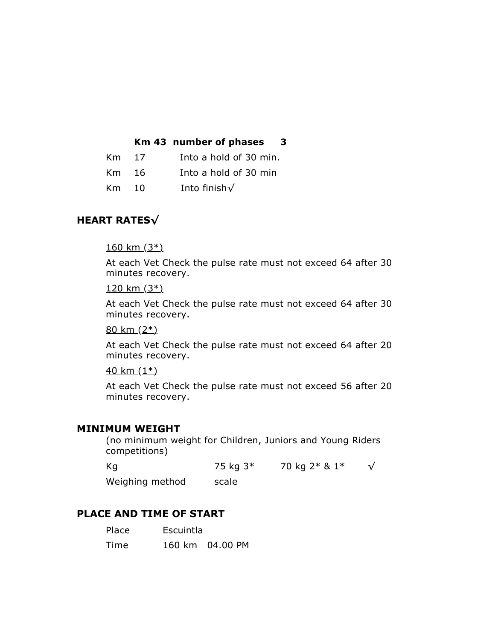|  | Km 43 number of phases | З |
|--|------------------------|---|
|--|------------------------|---|

| Km 17 | Into a hold of 30 min. |
|-------|------------------------|
| Km 16 | Into a hold of 30 min  |

Km 10 Into finish√

## **HEART RATES√**

 $160 \text{ km } (3*)$ 

At each Vet Check the pulse rate must not exceed 64 after 30 minutes recovery.

 $120 \text{ km } (3*)$ 

At each Vet Check the pulse rate must not exceed 64 after 30 minutes recovery.

80 km (2\*)

At each Vet Check the pulse rate must not exceed 64 after 20 minutes recovery.

 $40 \text{ km } (1*)$ 

At each Vet Check the pulse rate must not exceed 56 after 20 minutes recovery.

#### **MINIMUM WEIGHT**

(no minimum weight for Children, Juniors and Young Riders competitions)

| Кg              | 75 kg 3* | 70 kg 2* & 1* |  |
|-----------------|----------|---------------|--|
| Weighing method | scale    |               |  |

## **PLACE AND TIME OF START**

| Place | Escuintla |                 |  |
|-------|-----------|-----------------|--|
| Time  |           | 160 km 04.00 PM |  |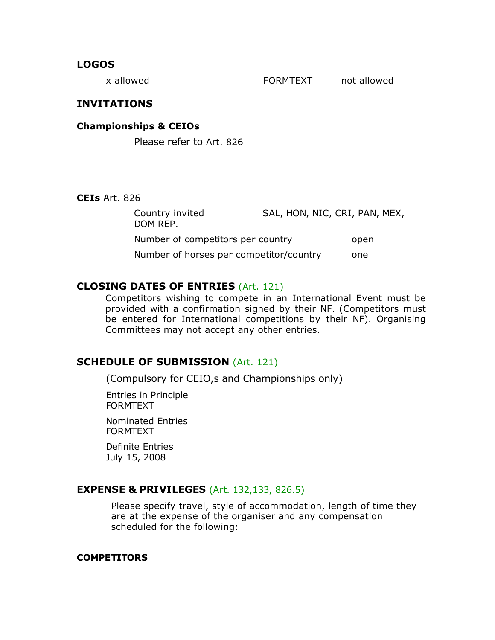#### **LOGOS**

x allowed TORMTEXT and allowed

## **INVITATIONS**

**Championships & CEIOs**

Please refer to Art. 826

#### **CEIs** Art. 826

| Country invited<br>DOM REP.             | SAL, HON, NIC, CRI, PAN, MEX, |      |
|-----------------------------------------|-------------------------------|------|
| Number of competitors per country       |                               | open |
| Number of horses per competitor/country |                               | one  |

## **CLOSING DATES OF ENTRIES** (Art. 121)

Competitors wishing to compete in an International Event must be provided with a confirmation signed by their NF. (Competitors must be entered for International competitions by their NF). Organising Committees may not accept any other entries.

## **SCHEDULE OF SUBMISSION** (Art. 121)

(Compulsory for CEIO,s and Championships only)

Entries in Principle FORMTEXT

Nominated Entries FORMTEXT

Definite Entries July 15, 2008

### **EXPENSE & PRIVILEGES** (Art. 132,133, 826.5)

Please specify travel, style of accommodation, length of time they are at the expense of the organiser and any compensation scheduled for the following:

#### **COMPETITORS**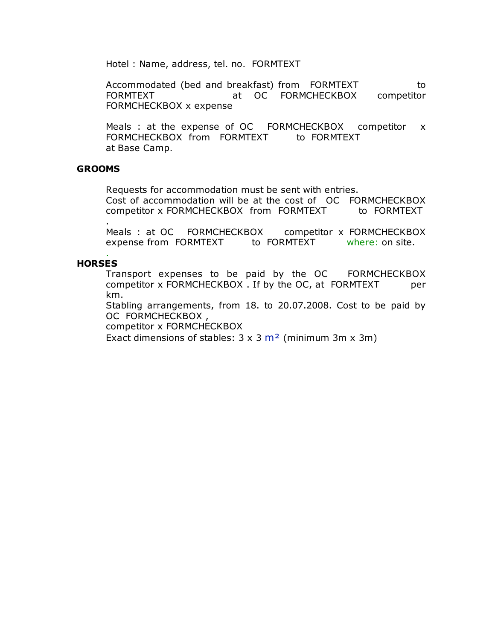Hotel : Name, address, tel. no. FORMTEXT

Accommodated (bed and breakfast) from FORMTEXT to FORMTEXT at OC FORMCHECKBOX competitor FORMCHECKBOX x expense

Meals : at the expense of OC FORMCHECKBOX competitor x FORMCHECKBOX from FORMTEXT to FORMTEXT at Base Camp.

#### **GROOMS**

Requests for accommodation must be sent with entries. Cost of accommodation will be at the cost of OC FORMCHECKBOX competitor x FORMCHECKBOX from FORMTEXT to FORMTEXT

. Meals : at OC FORMCHECKBOX competitor x FORMCHECKBOX expense from FORMTEXT to FORMTEXT where: on site.

#### . **HORSES**

Transport expenses to be paid by the OC FORMCHECKBOX competitor x FORMCHECKBOX . If by the OC, at FORMTEXT per km.

Stabling arrangements, from 18. to 20.07.2008. Cost to be paid by OC FORMCHECKBOX ,

competitor x FORMCHECKBOX

Exact dimensions of stables:  $3 \times 3$  m<sup>2</sup> (minimum 3m x 3m)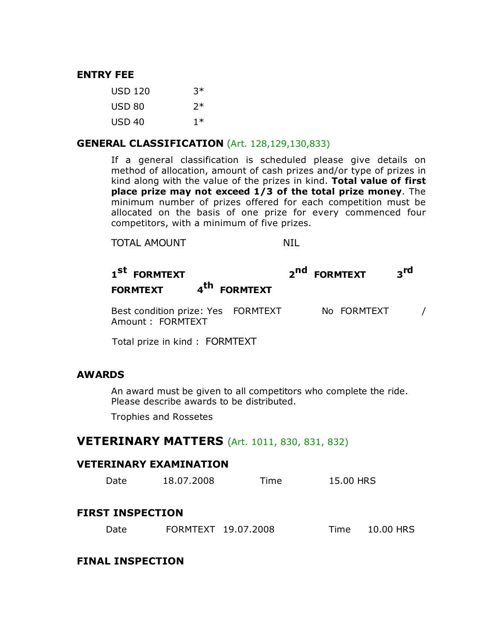### **ENTRY FEE**

| USD 120           | $3*$ |
|-------------------|------|
| USD 80            | 7*   |
| USD <sub>40</sub> | $1*$ |

#### **GENERAL CLASSIFICATION** (Art. 128,129,130,833)

If a general classification is scheduled please give details on method of allocation, amount of cash prizes and/or type of prizes in kind along with the value of the prizes in kind. **Total value of first place prize may not exceed 1/3 of the total prize money**. The minimum number of prizes offered for each competition must be allocated on the basis of one prize for every commenced four competitors, with a minimum of five prizes.

### TOTAL AMOUNT NIL

# **<sup>1</sup>st FORMTEXT <sup>2</sup>nd FORMTEXT <sup>3</sup>rd FORMTEXT <sup>4</sup>th FORMTEXT**

Best condition prize: Yes FORMTEXT No FORMTEXT / Amount : FORMTEXT

Total prize in kind : FORMTEXT

### **AWARDS**

An award must be given to all competitors who complete the ride. Please describe awards to be distributed.

Trophies and Rossetes

## **VETERINARY MATTERS** (Art. 1011, 830, 831, 832)

#### **VETERINARY EXAMINATION**

| Date                    | 18.07.2008          | Time | 15.00 HRS |           |
|-------------------------|---------------------|------|-----------|-----------|
| <b>FIRST INSPECTION</b> |                     |      |           |           |
| Date                    | FORMTEXT 19.07.2008 |      | Time.     | 10.00 HRS |

## **FINAL INSPECTION**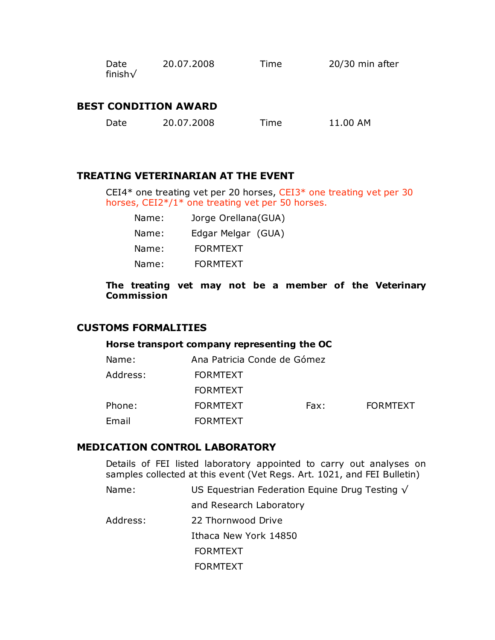| Date           | 20.07.2008 | Time | 20/30 min after |
|----------------|------------|------|-----------------|
| finish $\sqrt$ |            |      |                 |

## **BEST CONDITION AWARD**

| 20.07.2008<br>Date<br>Time | 11.00 AM |
|----------------------------|----------|
|----------------------------|----------|

#### **TREATING VETERINARIAN AT THE EVENT**

CEI4\* one treating vet per 20 horses, CEI3\* one treating vet per 30 horses, CEI2\*/1\* one treating vet per 50 horses.

| Name: | Jorge Orellana (GUA) |  |
|-------|----------------------|--|
| Name: | Edgar Melgar (GUA)   |  |
| Name: | <b>FORMTEXT</b>      |  |
| Name: | <b>FORMTFXT</b>      |  |

#### **The treating vet may not be a member of the Veterinary Commission**

### **CUSTOMS FORMALITIES**

#### **Horse transport company representing the OC**

| Ana Patricia Conde de Gómez |  |  |
|-----------------------------|--|--|
|                             |  |  |
|                             |  |  |
| <b>FORMTEXT</b>             |  |  |
|                             |  |  |
|                             |  |  |

#### **MEDICATION CONTROL LABORATORY**

Details of FEI listed laboratory appointed to carry out analyses on samples collected at this event (Vet Regs. Art. 1021, and FEI Bulletin)

Name: US Equestrian Federation Equine Drug Testing √

and Research Laboratory

Address: 22 Thornwood Drive Ithaca New York 14850

> FORMTEXT FORMTEXT